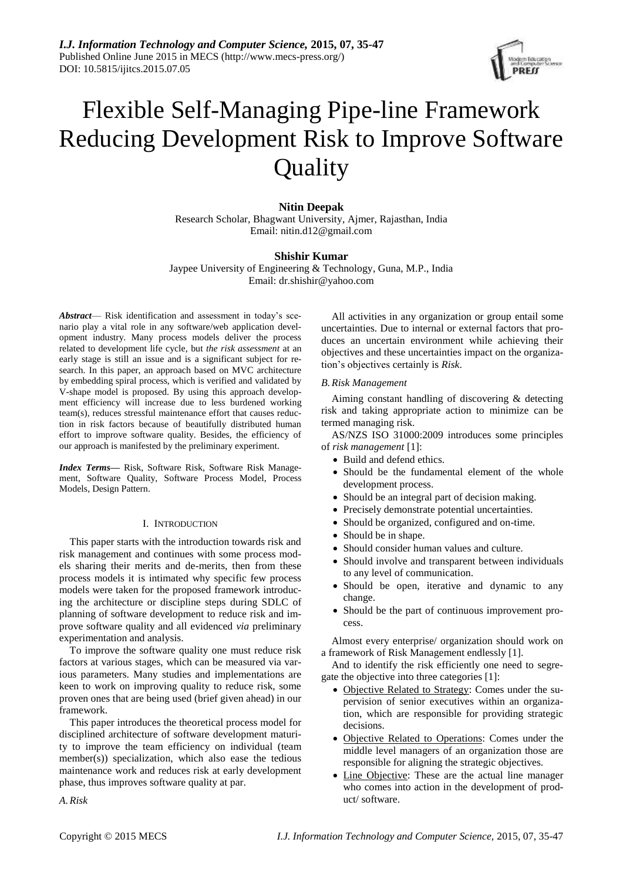

# Flexible Self-Managing Pipe-line Framework Reducing Development Risk to Improve Software **Quality**

# **Nitin Deepak**

Research Scholar, Bhagwant University, Ajmer, Rajasthan, India Email: nitin.d12@gmail.com

# **Shishir Kumar**

Jaypee University of Engineering & Technology, Guna, M.P., India Email: dr.shishir@yahoo.com

*Abstract*— Risk identification and assessment in today's scenario play a vital role in any software/web application development industry. Many process models deliver the process related to development life cycle, but *the risk assessment* at an early stage is still an issue and is a significant subject for research. In this paper, an approach based on MVC architecture by embedding spiral process, which is verified and validated by V-shape model is proposed. By using this approach development efficiency will increase due to less burdened working team(s), reduces stressful maintenance effort that causes reduction in risk factors because of beautifully distributed human effort to improve software quality. Besides, the efficiency of our approach is manifested by the preliminary experiment.

*Index Terms—* Risk, Software Risk, Software Risk Management, Software Quality, Software Process Model, Process Models, Design Pattern.

#### I. INTRODUCTION

This paper starts with the introduction towards risk and risk management and continues with some process models sharing their merits and de-merits, then from these process models it is intimated why specific few process models were taken for the proposed framework introducing the architecture or discipline steps during SDLC of planning of software development to reduce risk and improve software quality and all evidenced *via* preliminary experimentation and analysis.

To improve the software quality one must reduce risk factors at various stages, which can be measured via various parameters. Many studies and implementations are keen to work on improving quality to reduce risk, some proven ones that are being used (brief given ahead) in our framework.

This paper introduces the theoretical process model for disciplined architecture of software development maturity to improve the team efficiency on individual (team member(s)) specialization, which also ease the tedious maintenance work and reduces risk at early development phase, thus improves software quality at par.

All activities in any organization or group entail some uncertainties. Due to internal or external factors that produces an uncertain environment while achieving their objectives and these uncertainties impact on the organization's objectives certainly is *Risk*.

# *B.Risk Management*

Aiming constant handling of discovering & detecting risk and taking appropriate action to minimize can be termed managing risk.

AS/NZS ISO 31000:2009 introduces some principles of *risk management* [1]:

- Build and defend ethics.
- Should be the fundamental element of the whole development process.
- Should be an integral part of decision making.
- Precisely demonstrate potential uncertainties.
- Should be organized, configured and on-time.
- Should be in shape.
- Should consider human values and culture.
- Should involve and transparent between individuals to any level of communication.
- Should be open, iterative and dynamic to any change.
- Should be the part of continuous improvement process.

Almost every enterprise/ organization should work on a framework of Risk Management endlessly [1].

And to identify the risk efficiently one need to segregate the objective into three categories [1]:

- Objective Related to Strategy: Comes under the supervision of senior executives within an organization, which are responsible for providing strategic decisions.
- Objective Related to Operations: Comes under the middle level managers of an organization those are responsible for aligning the strategic objectives.
- Line Objective: These are the actual line manager who comes into action in the development of product/ software.

*A.Risk*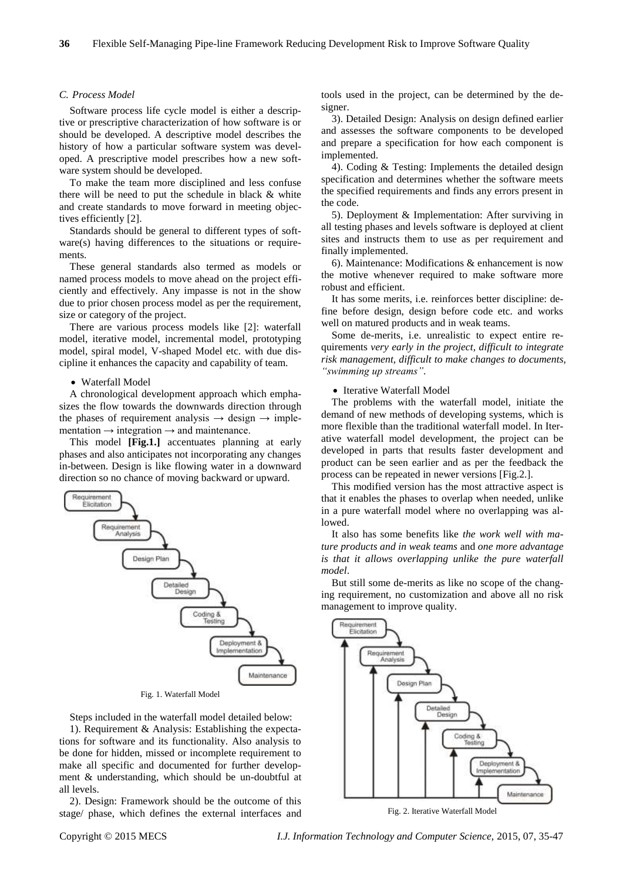## *C. Process Model*

Software process life cycle model is either a descriptive or prescriptive characterization of how software is or should be developed. A descriptive model describes the history of how a particular software system was developed. A prescriptive model prescribes how a new software system should be developed.

To make the team more disciplined and less confuse there will be need to put the schedule in black & white and create standards to move forward in meeting objectives efficiently [2].

Standards should be general to different types of software(s) having differences to the situations or requirements.

These general standards also termed as models or named process models to move ahead on the project efficiently and effectively. Any impasse is not in the show due to prior chosen process model as per the requirement, size or category of the project.

There are various process models like [2]: waterfall model, iterative model, incremental model, prototyping model, spiral model, V-shaped Model etc. with due discipline it enhances the capacity and capability of team.

#### Waterfall Model

A chronological development approach which emphasizes the flow towards the downwards direction through the phases of requirement analysis  $\rightarrow$  design  $\rightarrow$  implementation  $\rightarrow$  integration  $\rightarrow$  and maintenance.

This model **[Fig.1.]** accentuates planning at early phases and also anticipates not incorporating any changes in-between. Design is like flowing water in a downward direction so no chance of moving backward or upward.



Fig. 1. Waterfall Model

Steps included in the waterfall model detailed below:

1). Requirement & Analysis: Establishing the expectations for software and its functionality. Also analysis to be done for hidden, missed or incomplete requirement to make all specific and documented for further development & understanding, which should be un-doubtful at all levels.

2). Design: Framework should be the outcome of this stage/ phase, which defines the external interfaces and tools used in the project, can be determined by the designer.

3). Detailed Design: Analysis on design defined earlier and assesses the software components to be developed and prepare a specification for how each component is implemented.

4). Coding & Testing: Implements the detailed design specification and determines whether the software meets the specified requirements and finds any errors present in the code.

5). Deployment & Implementation: After surviving in all testing phases and levels software is deployed at client sites and instructs them to use as per requirement and finally implemented.

6). Maintenance: Modifications & enhancement is now the motive whenever required to make software more robust and efficient.

It has some merits, i.e. reinforces better discipline: define before design, design before code etc. and works well on matured products and in weak teams.

Some de-merits, i.e. unrealistic to expect entire requirements *very early in the project, difficult to integrate risk management, difficult to make changes to documents, "swimming up streams"*.

#### • Iterative Waterfall Model

The problems with the waterfall model, initiate the demand of new methods of developing systems, which is more flexible than the traditional waterfall model. In Iterative waterfall model development, the project can be developed in parts that results faster development and product can be seen earlier and as per the feedback the process can be repeated in newer versions [Fig.2.].

This modified version has the most attractive aspect is that it enables the phases to overlap when needed, unlike in a pure waterfall model where no overlapping was allowed.

It also has some benefits like *the work well with mature products and in weak teams* and *one more advantage is that it allows overlapping unlike the pure waterfall model*.

But still some de-merits as like no scope of the changing requirement, no customization and above all no risk management to improve quality.



Fig. 2. Iterative Waterfall Model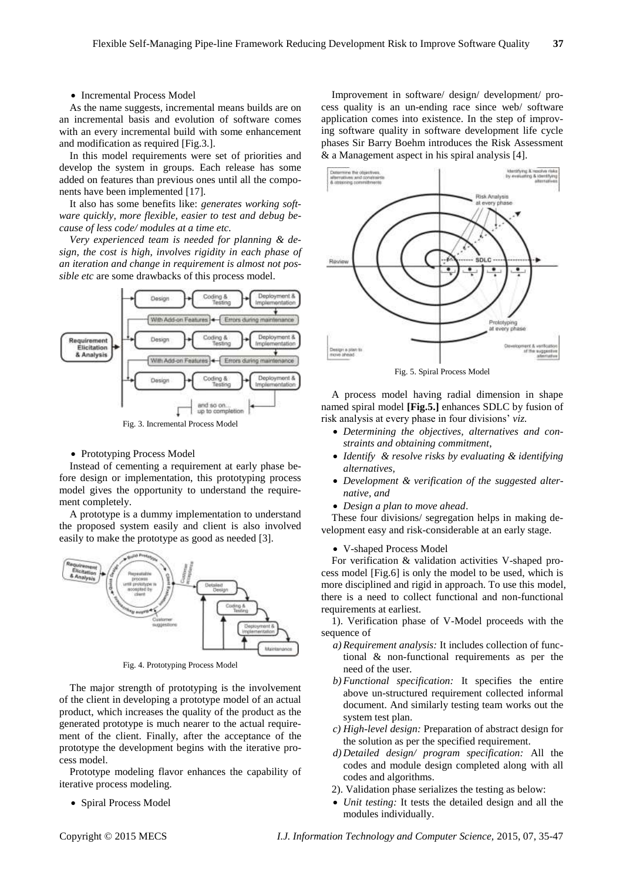## • Incremental Process Model

As the name suggests, incremental means builds are on an incremental basis and evolution of software comes with an every incremental build with some enhancement and modification as required [Fig.3.].

In this model requirements were set of priorities and develop the system in groups. Each release has some added on features than previous ones until all the components have been implemented [17].

It also has some benefits like: *generates working software quickly, more flexible, easier to test and debug because of less code/ modules at a time etc.*

*Very experienced team is needed for planning & design, the cost is high, involves rigidity in each phase of an iteration and change in requirement is almost not possible etc* are some drawbacks of this process model.



Fig. 3. Incremental Process Model

#### • Prototyping Process Model

Instead of cementing a requirement at early phase before design or implementation, this prototyping process model gives the opportunity to understand the requirement completely.

A prototype is a dummy implementation to understand the proposed system easily and client is also involved easily to make the prototype as good as needed [3].



Fig. 4. Prototyping Process Model

The major strength of prototyping is the involvement of the client in developing a prototype model of an actual product, which increases the quality of the product as the generated prototype is much nearer to the actual requirement of the client. Finally, after the acceptance of the prototype the development begins with the iterative process model.

Prototype modeling flavor enhances the capability of iterative process modeling.

• Spiral Process Model

Improvement in software/ design/ development/ process quality is an un-ending race since web/ software application comes into existence. In the step of improving software quality in software development life cycle phases Sir Barry Boehm introduces the Risk Assessment & a Management aspect in his spiral analysis [4].



Fig. 5. Spiral Process Model

A process model having radial dimension in shape named spiral model **[Fig.5.]** enhances SDLC by fusion of risk analysis at every phase in four divisions' *viz.*

- *Determining the objectives, alternatives and constraints and obtaining commitment*,
- *Identify & resolve risks by evaluating & identifying alternatives,*
- *Development & verification of the suggested alternative, and*
- *Design a plan to move ahead*.

These four divisions/ segregation helps in making development easy and risk-considerable at an early stage.

### V-shaped Process Model

For verification & validation activities V-shaped process model [Fig.6] is only the model to be used, which is more disciplined and rigid in approach. To use this model, there is a need to collect functional and non-functional requirements at earliest.

1). Verification phase of V-Model proceeds with the sequence of

- *a) Requirement analysis:* It includes collection of functional & non-functional requirements as per the need of the user*.*
- *b) Functional specification:* It specifies the entire above un-structured requirement collected informal document. And similarly testing team works out the system test plan.
- *c) High-level design:* Preparation of abstract design for the solution as per the specified requirement.
- *d) Detailed design/ program specification:* All the codes and module design completed along with all codes and algorithms.
- 2). Validation phase serializes the testing as below:
- *Unit testing:* It tests the detailed design and all the modules individually.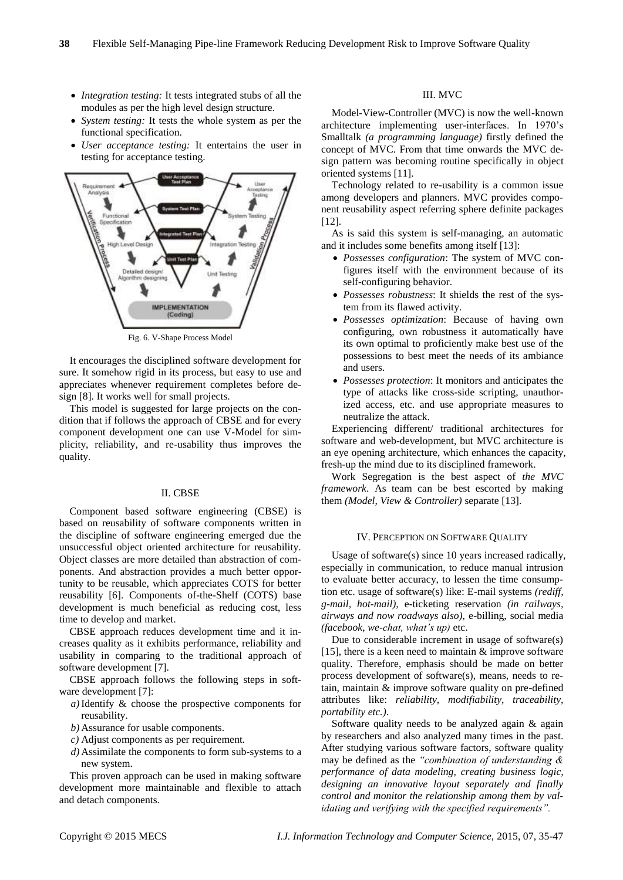- *Integration testing:* It tests integrated stubs of all the modules as per the high level design structure.
- *System testing:* It tests the whole system as per the functional specification.
- *User acceptance testing:* It entertains the user in testing for acceptance testing.



Fig. 6. V-Shape Process Model

It encourages the disciplined software development for sure. It somehow rigid in its process, but easy to use and appreciates whenever requirement completes before design [8]. It works well for small projects.

This model is suggested for large projects on the condition that if follows the approach of CBSE and for every component development one can use V-Model for simplicity, reliability, and re-usability thus improves the quality.

#### II. CBSE

Component based software engineering (CBSE) is based on reusability of software components written in the discipline of software engineering emerged due the unsuccessful object oriented architecture for reusability. Object classes are more detailed than abstraction of components. And abstraction provides a much better opportunity to be reusable, which appreciates COTS for better reusability [6]. Components of-the-Shelf (COTS) base development is much beneficial as reducing cost, less time to develop and market.

CBSE approach reduces development time and it increases quality as it exhibits performance, reliability and usability in comparing to the traditional approach of software development [7].

CBSE approach follows the following steps in software development [7]:

- *a)*Identify & choose the prospective components for reusability.
- *b)* Assurance for usable components.
- *c)* Adjust components as per requirement.
- *d)* Assimilate the components to form sub-systems to a new system.

This proven approach can be used in making software development more maintainable and flexible to attach and detach components.

## III. MVC

Model-View-Controller (MVC) is now the well-known architecture implementing user-interfaces. In 1970's Smalltalk *(a programming language)* firstly defined the concept of MVC. From that time onwards the MVC design pattern was becoming routine specifically in object oriented systems [11].

Technology related to re-usability is a common issue among developers and planners. MVC provides component reusability aspect referring sphere definite packages [12].

As is said this system is self-managing, an automatic and it includes some benefits among itself [13]:

- *Possesses configuration*: The system of MVC configures itself with the environment because of its self-configuring behavior.
- *Possesses robustness*: It shields the rest of the system from its flawed activity.
- *Possesses optimization*: Because of having own configuring, own robustness it automatically have its own optimal to proficiently make best use of the possessions to best meet the needs of its ambiance and users.
- *Possesses protection*: It monitors and anticipates the type of attacks like cross-side scripting, unauthorized access, etc. and use appropriate measures to neutralize the attack.

Experiencing different/ traditional architectures for software and web-development, but MVC architecture is an eye opening architecture, which enhances the capacity, fresh-up the mind due to its disciplined framework.

Work Segregation is the best aspect of *the MVC framework*. As team can be best escorted by making them *(Model, View & Controller)* separate [13].

## IV. PERCEPTION ON SOFTWARE QUALITY

Usage of software(s) since 10 years increased radically, especially in communication, to reduce manual intrusion to evaluate better accuracy, to lessen the time consumption etc. usage of software(s) like: E-mail systems *(rediff, g-mail, hot-mail),* e-ticketing reservation *(in railways, airways and now roadways also),* e-billing, social media *(facebook, we-chat, what's up)* etc.

Due to considerable increment in usage of software(s) [15], there is a keen need to maintain  $\&$  improve software quality. Therefore, emphasis should be made on better process development of software(s), means, needs to retain, maintain & improve software quality on pre-defined attributes like: *reliability, modifiability, traceability, portability etc.)*.

Software quality needs to be analyzed again & again by researchers and also analyzed many times in the past. After studying various software factors, software quality may be defined as the *"combination of understanding & performance of data modeling, creating business logic, designing an innovative layout separately and finally control and monitor the relationship among them by validating and verifying with the specified requirements".*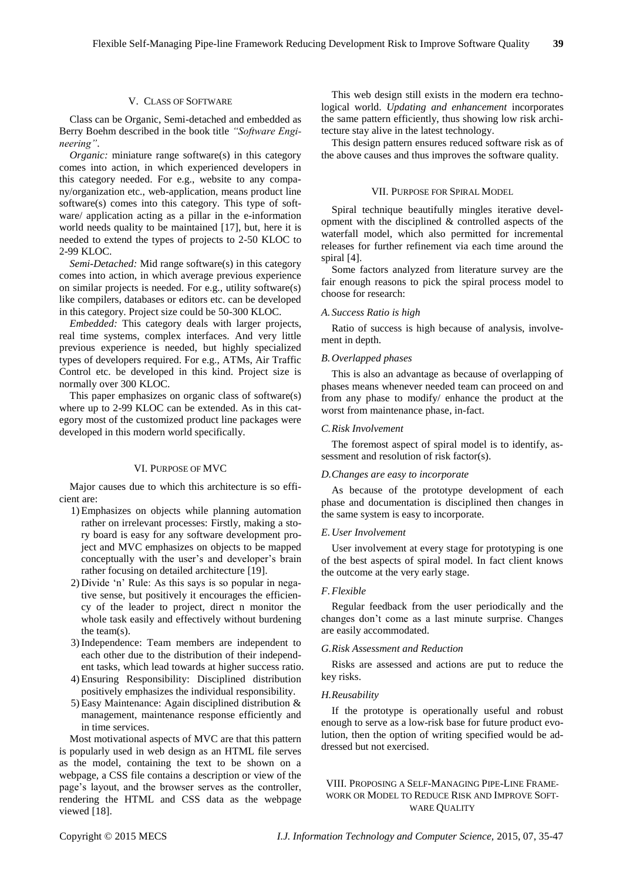#### V. CLASS OF SOFTWARE

Class can be Organic, Semi-detached and embedded as Berry Boehm described in the book title *"Software Engineering"*.

*Organic:* miniature range software(s) in this category comes into action, in which experienced developers in this category needed. For e.g., website to any company/organization etc., web-application, means product line software(s) comes into this category. This type of software/ application acting as a pillar in the e-information world needs quality to be maintained [17], but, here it is needed to extend the types of projects to 2-50 KLOC to 2-99 KLOC.

*Semi-Detached:* Mid range software(s) in this category comes into action, in which average previous experience on similar projects is needed. For e.g., utility software(s) like compilers, databases or editors etc. can be developed in this category. Project size could be 50-300 KLOC.

*Embedded:* This category deals with larger projects, real time systems, complex interfaces. And very little previous experience is needed, but highly specialized types of developers required. For e.g., ATMs, Air Traffic Control etc. be developed in this kind. Project size is normally over 300 KLOC.

This paper emphasizes on organic class of software(s) where up to 2-99 KLOC can be extended. As in this category most of the customized product line packages were developed in this modern world specifically.

#### VI. PURPOSE OF MVC

Major causes due to which this architecture is so efficient are:

- 1) Emphasizes on objects while planning automation rather on irrelevant processes: Firstly, making a story board is easy for any software development project and MVC emphasizes on objects to be mapped conceptually with the user's and developer's brain rather focusing on detailed architecture [19].
- 2) Divide 'n' Rule: As this says is so popular in negative sense, but positively it encourages the efficiency of the leader to project, direct n monitor the whole task easily and effectively without burdening the team(s).
- 3)Independence: Team members are independent to each other due to the distribution of their independent tasks, which lead towards at higher success ratio.
- 4) Ensuring Responsibility: Disciplined distribution positively emphasizes the individual responsibility.
- 5) Easy Maintenance: Again disciplined distribution & management, maintenance response efficiently and in time services.

Most motivational aspects of MVC are that this pattern is popularly used in web design as an HTML file serves as the model, containing the text to be shown on a webpage, a CSS file contains a description or view of the page's layout, and the browser serves as the controller, rendering the HTML and CSS data as the webpage viewed [18].

This web design still exists in the modern era technological world. *Updating and enhancement* incorporates the same pattern efficiently, thus showing low risk architecture stay alive in the latest technology.

This design pattern ensures reduced software risk as of the above causes and thus improves the software quality.

## VII. PURPOSE FOR SPIRAL MODEL

Spiral technique beautifully mingles iterative development with the disciplined & controlled aspects of the waterfall model, which also permitted for incremental releases for further refinement via each time around the spiral [4].

Some factors analyzed from literature survey are the fair enough reasons to pick the spiral process model to choose for research:

#### *A. Success Ratio is high*

Ratio of success is high because of analysis, involvement in depth.

## *B.Overlapped phases*

This is also an advantage as because of overlapping of phases means whenever needed team can proceed on and from any phase to modify/ enhance the product at the worst from maintenance phase, in-fact.

## *C.Risk Involvement*

The foremost aspect of spiral model is to identify, assessment and resolution of risk factor(s).

## *D.Changes are easy to incorporate*

As because of the prototype development of each phase and documentation is disciplined then changes in the same system is easy to incorporate.

## *E.User Involvement*

User involvement at every stage for prototyping is one of the best aspects of spiral model. In fact client knows the outcome at the very early stage.

## *F.Flexible*

Regular feedback from the user periodically and the changes don't come as a last minute surprise. Changes are easily accommodated.

#### *G.Risk Assessment and Reduction*

Risks are assessed and actions are put to reduce the key risks.

#### *H.Reusability*

If the prototype is operationally useful and robust enough to serve as a low-risk base for future product evolution, then the option of writing specified would be addressed but not exercised.

VIII. PROPOSING A SELF-MANAGING PIPE-LINE FRAME-WORK OR MODEL TO REDUCE RISK AND IMPROVE SOFT-WARE QUALITY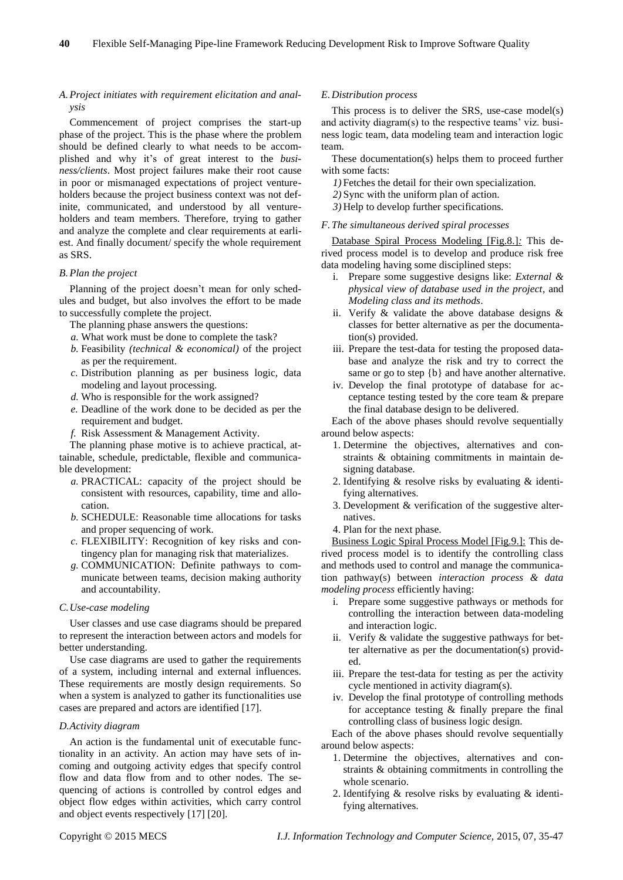# *A.Project initiates with requirement elicitation and analysis*

Commencement of project comprises the start-up phase of the project. This is the phase where the problem should be defined clearly to what needs to be accomplished and why it's of great interest to the *business/clients*. Most project failures make their root cause in poor or mismanaged expectations of project ventureholders because the project business context was not definite, communicated, and understood by all ventureholders and team members. Therefore, trying to gather and analyze the complete and clear requirements at earliest. And finally document/ specify the whole requirement as SRS.

## *B.Plan the project*

Planning of the project doesn't mean for only schedules and budget, but also involves the effort to be made to successfully complete the project.

- The planning phase answers the questions:
- *a.* What work must be done to complete the task?
- *b.* Feasibility *(technical & economical)* of the project as per the requirement.
- *c.* Distribution planning as per business logic, data modeling and layout processing.
- *d.* Who is responsible for the work assigned?
- *e.* Deadline of the work done to be decided as per the requirement and budget.
- *f.* Risk Assessment & Management Activity.

The planning phase motive is to achieve practical, attainable, schedule, predictable, flexible and communicable development:

- *a.* PRACTICAL: capacity of the project should be consistent with resources, capability, time and allocation.
- *b.* SCHEDULE: Reasonable time allocations for tasks and proper sequencing of work.
- *c.* FLEXIBILITY: Recognition of key risks and contingency plan for managing risk that materializes.
- *g.* COMMUNICATION: Definite pathways to communicate between teams, decision making authority and accountability.

#### *C.Use-case modeling*

User classes and use case diagrams should be prepared to represent the interaction between actors and models for better understanding.

Use case diagrams are used to gather the requirements of a system, including internal and external influences. These requirements are mostly design requirements. So when a system is analyzed to gather its functionalities use cases are prepared and actors are identified [17].

# *D.Activity diagram*

An action is the fundamental unit of executable functionality in an activity. An action may have sets of incoming and outgoing activity edges that specify control flow and data flow from and to other nodes. The sequencing of actions is controlled by control edges and object flow edges within activities, which carry control and object events respectively [17] [20].

## *E.Distribution process*

This process is to deliver the SRS, use-case model(s) and activity diagram(s) to the respective teams' viz. business logic team, data modeling team and interaction logic team.

These documentation(s) helps them to proceed further with some facts:

- *1)* Fetches the detail for their own specialization.
- *2)* Sync with the uniform plan of action.
- *3)* Help to develop further specifications.
- *F.The simultaneous derived spiral processes*

Database Spiral Process Modeling [Fig.8.]*:* This derived process model is to develop and produce risk free data modeling having some disciplined steps:

- i. Prepare some suggestive designs like: *External & physical view of database used in the project*, and *Modeling class and its methods*.
- ii. Verify & validate the above database designs & classes for better alternative as per the documentation(s) provided.
- iii. Prepare the test-data for testing the proposed database and analyze the risk and try to correct the same or go to step  ${b}$  and have another alternative.
- iv. Develop the final prototype of database for acceptance testing tested by the core team & prepare the final database design to be delivered.

Each of the above phases should revolve sequentially around below aspects:

- 1. Determine the objectives, alternatives and constraints & obtaining commitments in maintain designing database.
- 2. Identifying & resolve risks by evaluating & identifying alternatives.
- 3. Development & verification of the suggestive alternatives.
- 4. Plan for the next phase.

Business Logic Spiral Process Model [Fig.9.]: This derived process model is to identify the controlling class and methods used to control and manage the communication pathway(s) between *interaction process & data modeling process* efficiently having:

- i. Prepare some suggestive pathways or methods for controlling the interaction between data-modeling and interaction logic.
- ii. Verify & validate the suggestive pathways for better alternative as per the documentation(s) provided.
- iii. Prepare the test-data for testing as per the activity cycle mentioned in activity diagram(s).
- iv. Develop the final prototype of controlling methods for acceptance testing & finally prepare the final controlling class of business logic design.

Each of the above phases should revolve sequentially around below aspects:

- 1. Determine the objectives, alternatives and constraints & obtaining commitments in controlling the whole scenario.
- 2. Identifying & resolve risks by evaluating & identifying alternatives.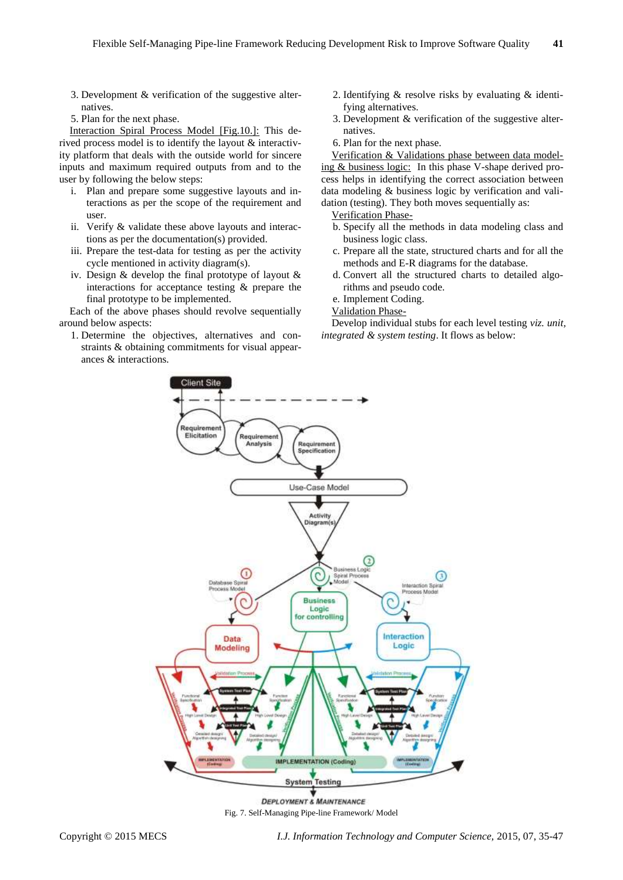- 3. Development & verification of the suggestive alternatives.
- 5. Plan for the next phase.

Interaction Spiral Process Model [Fig.10.]: This derived process model is to identify the layout & interactivity platform that deals with the outside world for sincere inputs and maximum required outputs from and to the user by following the below steps:

- i. Plan and prepare some suggestive layouts and interactions as per the scope of the requirement and user.
- ii. Verify & validate these above layouts and interactions as per the documentation(s) provided.
- iii. Prepare the test-data for testing as per the activity cycle mentioned in activity diagram(s).
- iv. Design & develop the final prototype of layout & interactions for acceptance testing & prepare the final prototype to be implemented.

Each of the above phases should revolve sequentially around below aspects:

1. Determine the objectives, alternatives and constraints & obtaining commitments for visual appearances & interactions.

- 2. Identifying & resolve risks by evaluating & identifying alternatives.
- 3. Development & verification of the suggestive alternatives.
- 6. Plan for the next phase.

Verification & Validations phase between data modeling & business logic:In this phase V-shape derived process helps in identifying the correct association between data modeling & business logic by verification and validation (testing). They both moves sequentially as:

- Verification Phase-
- b. Specify all the methods in data modeling class and business logic class.
- c. Prepare all the state, structured charts and for all the methods and E-R diagrams for the database.
- d. Convert all the structured charts to detailed algorithms and pseudo code.
- e. Implement Coding.
- Validation Phase-

Develop individual stubs for each level testing *viz. unit, integrated & system testing*. It flows as below:



Fig. 7. Self-Managing Pipe-line Framework/ Model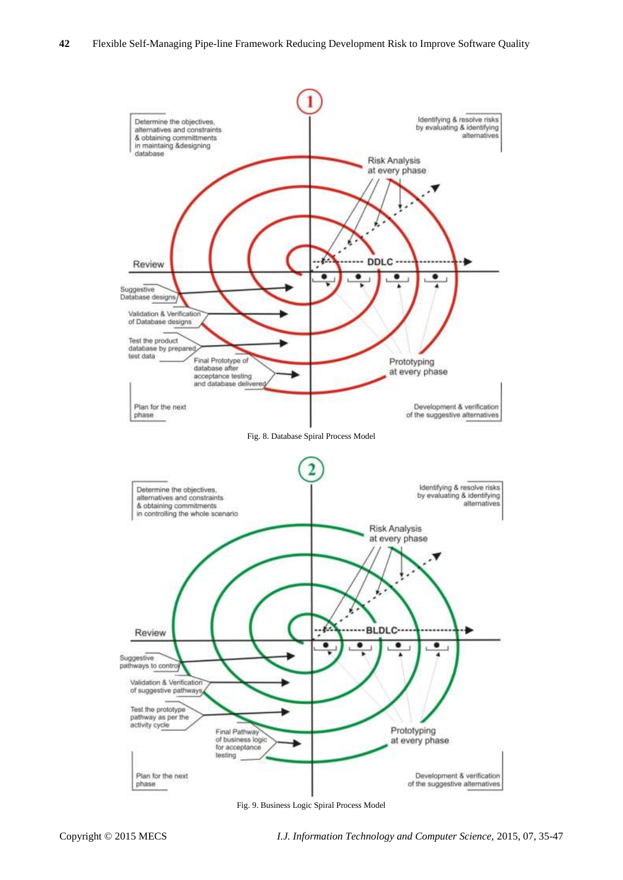

Fig. 9. Business Logic Spiral Process Model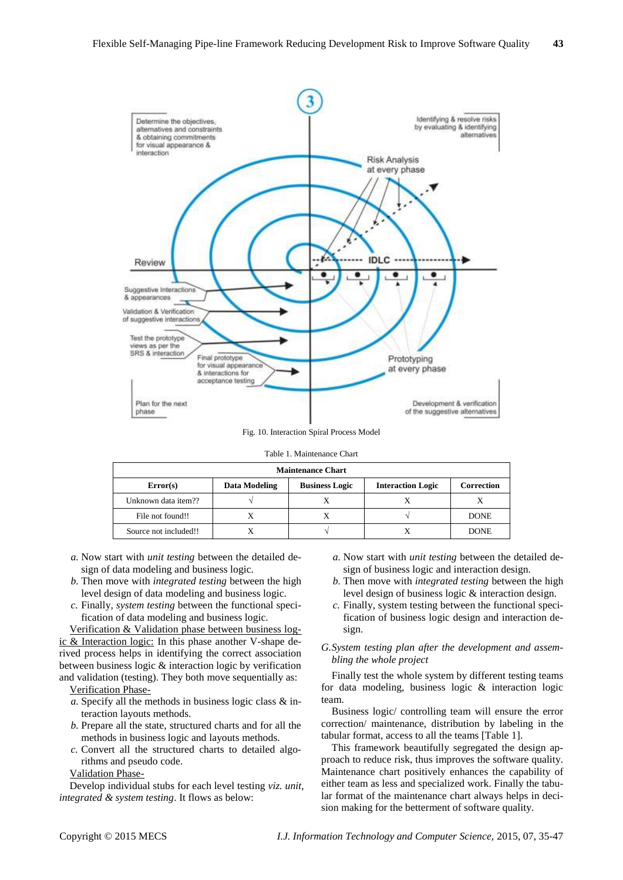

Fig. 10. Interaction Spiral Process Model

|  |  | Table 1. Maintenance Chart |  |
|--|--|----------------------------|--|
|--|--|----------------------------|--|

| <b>Maintenance Chart</b> |               |                       |                          |             |
|--------------------------|---------------|-----------------------|--------------------------|-------------|
| Error(s)                 | Data Modeling | <b>Business Logic</b> | <b>Interaction Logic</b> | Correction  |
| Unknown data item??      |               |                       |                          |             |
| File not found!!         |               | X                     |                          | <b>DONE</b> |
| Source not included!!    |               |                       |                          | <b>DONE</b> |

- *a.* Now start with *unit testing* between the detailed design of data modeling and business logic.
- *b.* Then move with *integrated testing* between the high level design of data modeling and business logic.
- *c.* Finally, *system testing* between the functional specification of data modeling and business logic.

Verification & Validation phase between business logic & Interaction logic: In this phase another V-shape derived process helps in identifying the correct association between business logic & interaction logic by verification and validation (testing). They both move sequentially as: Verification Phase-

- *a.* Specify all the methods in business logic class & interaction layouts methods.
- *b.* Prepare all the state, structured charts and for all the methods in business logic and layouts methods.
- *c.* Convert all the structured charts to detailed algorithms and pseudo code.

Validation Phase-

Develop individual stubs for each level testing *viz. unit, integrated & system testing*. It flows as below:

- *a.* Now start with *unit testing* between the detailed design of business logic and interaction design.
- *b.* Then move with *integrated testing* between the high level design of business logic & interaction design.
- *c.* Finally, system testing between the functional specification of business logic design and interaction design.

# *G.System testing plan after the development and assembling the whole project*

Finally test the whole system by different testing teams for data modeling, business logic & interaction logic team.

Business logic/ controlling team will ensure the error correction/ maintenance, distribution by labeling in the tabular format, access to all the teams [Table 1].

This framework beautifully segregated the design approach to reduce risk, thus improves the software quality. Maintenance chart positively enhances the capability of either team as less and specialized work. Finally the tabular format of the maintenance chart always helps in decision making for the betterment of software quality.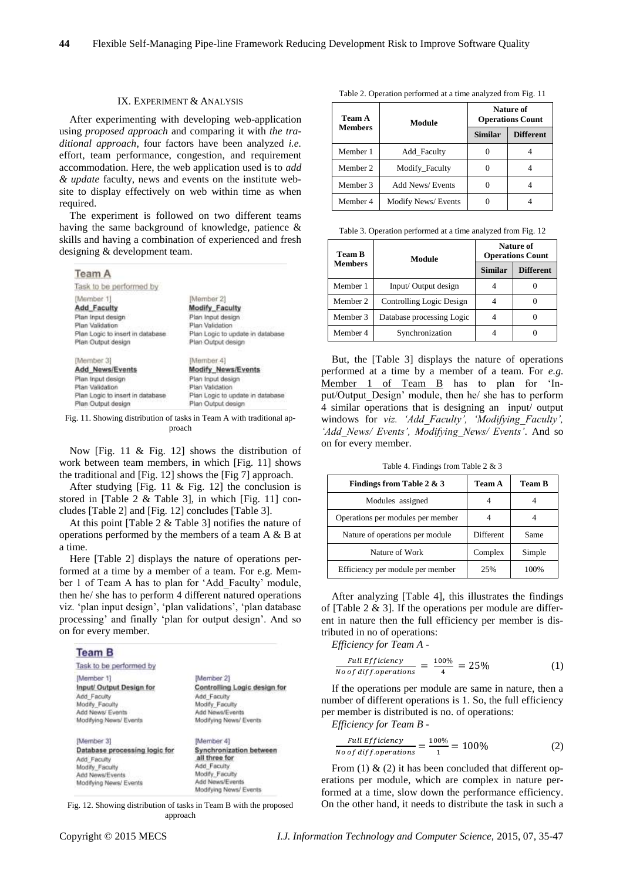#### IX. EXPERIMENT & ANALYSIS

After experimenting with developing web-application using *proposed approach* and comparing it with *the traditional approach*, four factors have been analyzed *i.e.* effort, team performance, congestion, and requirement accommodation. Here, the web application used is to *add & update* faculty, news and events on the institute website to display effectively on web within time as when required.

The experiment is followed on two different teams having the same background of knowledge, patience & skills and having a combination of experienced and fresh designing & development team.

| <b>Team A</b>                    |                                  |
|----------------------------------|----------------------------------|
| Task to be performed by          |                                  |
| [Member 1]                       | Member 21                        |
| <b>Add Faculty</b>               | <b>Modify Faculty</b>            |
| Plan Input design                | Plan Input design                |
| Plan Validation                  | Plan Validation                  |
| Plan Logic to insert in database | Plan Logic to update in database |
| Plan Output design               | Plan Output design               |
| [Member 3]                       | [Member 4]                       |
| <b>Add News/Events</b>           | <b>Modify News/Events</b>        |
| Plan Input design                | Plan Input design                |
| Plan Validation                  | Plan Validation                  |
| Plan Logic to insert in database | Plan Logic to update in database |
| Plan Output design               | Plan Output design               |

Fig. 11. Showing distribution of tasks in Team A with traditional approach

Now [Fig. 11 & Fig. 12] shows the distribution of work between team members, in which [Fig. 11] shows the traditional and [Fig. 12] shows the [Fig 7] approach.

After studying [Fig. 11  $\&$  Fig. 12] the conclusion is stored in [Table 2 & Table 3], in which [Fig. 11] concludes [Table 2] and [Fig. 12] concludes [Table 3].

At this point [Table 2 & Table 3] notifies the nature of operations performed by the members of a team A & B at a time.

Here [Table 2] displays the nature of operations performed at a time by a member of a team. For e.g. Member 1 of Team A has to plan for 'Add\_Faculty' module, then he/ she has to perform 4 different natured operations viz. 'plan input design', 'plan validations', 'plan database processing' and finally 'plan for output design'. And so on for every member.

| <b>Team B</b>                 |                                |
|-------------------------------|--------------------------------|
| Task to be performed by       |                                |
| [Member 1]                    | Member 21                      |
| Input/ Output Design for      | Controlling Logic design for   |
| Add Faculty                   | Add Faculty                    |
| Modify Faculty                | Modify Faculty                 |
| Add News/ Events              | Add News/Events                |
| Modifying News/ Events        | Modifying News/ Events         |
| Member 31                     | Member 41                      |
| Database processing logic for | <b>Synchronization between</b> |
| Add Faculty                   | all three for                  |
| Modify Faculty                | Add Faculty                    |
| Add News/Events               | Modify Faculty                 |
| Modifying News/ Events        | Add News/Events                |
|                               | Modifying News/ Events         |

Fig. 12. Showing distribution of tasks in Team B with the proposed approach

Table 2. Operation performed at a time analyzed from Fig. 11

| Team A         | Module                    |                | Nature of<br><b>Operations Count</b> |
|----------------|---------------------------|----------------|--------------------------------------|
| <b>Members</b> |                           | <b>Similar</b> | <b>Different</b>                     |
| Member 1       | Add Faculty               |                |                                      |
| Member 2       | Modify Faculty            |                |                                      |
| Member 3       | <b>Add News/Events</b>    |                |                                      |
| Member 4       | <b>Modify News/Events</b> |                |                                      |

Table 3. Operation performed at a time analyzed from Fig. 12

| Team B         | Module                    |                | Nature of<br><b>Operations Count</b> |
|----------------|---------------------------|----------------|--------------------------------------|
| <b>Members</b> |                           | <b>Similar</b> | <b>Different</b>                     |
| Member 1       | Input/Output design       |                |                                      |
| Member 2       | Controlling Logic Design  |                |                                      |
| Member 3       | Database processing Logic |                |                                      |
| Member 4       | Synchronization           |                |                                      |

But, the [Table 3] displays the nature of operations performed at a time by a member of a team. For *e.g.* Member 1 of Team B has to plan for 'Input/Output\_Design' module, then he/ she has to perform 4 similar operations that is designing an input/ output windows for *viz. 'Add\_Faculty', 'Modifying\_Faculty', 'Add\_News/ Events', Modifying\_News/ Events'*. And so on for every member.

Table 4. Findings from Table 2 & 3

| Findings from Table 2 & 3         | Team A    | <b>Team B</b> |
|-----------------------------------|-----------|---------------|
| Modules assigned                  |           |               |
| Operations per modules per member |           |               |
| Nature of operations per module   | Different | Same          |
| Nature of Work                    | Complex   | Simple        |
| Efficiency per module per member  | 25%       | 100%          |

After analyzing [Table 4], this illustrates the findings of [Table  $2 \& 3$ ]. If the operations per module are different in nature then the full efficiency per member is distributed in no of operations:

*Efficiency for Team A* -

$$
\frac{Full \;Efficiency}{No \; of \; diff. operations} = \frac{100\%}{4} = 25\% \tag{1}
$$

If the operations per module are same in nature, then a number of different operations is 1. So, the full efficiency per member is distributed is no. of operations:

*Efficiency for Team B* -

$$
\frac{Full \,Efficiency}{No \, of \, diff. operations} = \frac{100\%}{1} = 100\% \tag{2}
$$

From (1)  $\&$  (2) it has been concluded that different operations per module, which are complex in nature performed at a time, slow down the performance efficiency. On the other hand, it needs to distribute the task in such a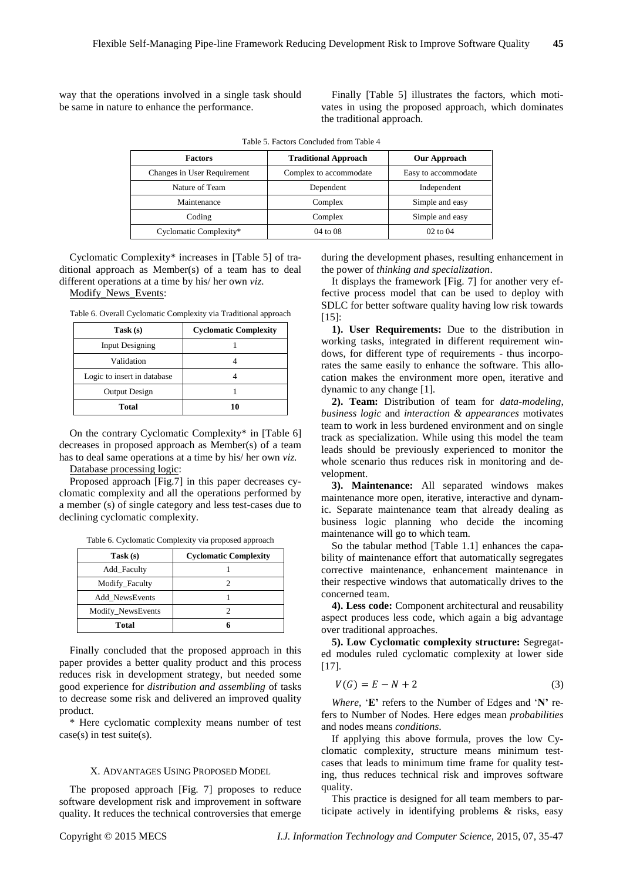way that the operations involved in a single task should be same in nature to enhance the performance.

Finally [Table 5] illustrates the factors, which motivates in using the proposed approach, which dominates the traditional approach.

| <b>Factors</b>              | <b>Traditional Approach</b> | <b>Our Approach</b> |
|-----------------------------|-----------------------------|---------------------|
| Changes in User Requirement | Complex to accommodate      | Easy to accommodate |
| Nature of Team              | Dependent                   | Independent         |
| Maintenance                 | Complex                     | Simple and easy     |
| Coding                      | Complex                     | Simple and easy     |
| Cyclomatic Complexity*      | 04 to 08                    | $02$ to $04$        |

Table 5. Factors Concluded from Table 4

Cyclomatic Complexity\* increases in [Table 5] of traditional approach as Member(s) of a team has to deal different operations at a time by his/ her own *viz.*

Modify\_News\_Events:

Table 6. Overall Cyclomatic Complexity via Traditional approach

| Task(s)                     | <b>Cyclomatic Complexity</b> |
|-----------------------------|------------------------------|
| <b>Input Designing</b>      |                              |
| Validation                  |                              |
| Logic to insert in database |                              |
| Output Design               |                              |
| <b>Total</b>                | 10                           |

On the contrary Cyclomatic Complexity\* in [Table 6] decreases in proposed approach as Member(s) of a team has to deal same operations at a time by his/ her own *viz.*

Database processing logic:

Proposed approach [Fig.7] in this paper decreases cyclomatic complexity and all the operations performed by a member (s) of single category and less test-cases due to declining cyclomatic complexity.

Table 6. Cyclomatic Complexity via proposed approach

| Task (s)          | <b>Cyclomatic Complexity</b> |
|-------------------|------------------------------|
| Add Faculty       |                              |
| Modify_Faculty    |                              |
| Add NewsEvents    |                              |
| Modify_NewsEvents |                              |
| <b>Total</b>      |                              |

Finally concluded that the proposed approach in this paper provides a better quality product and this process reduces risk in development strategy, but needed some good experience for *distribution and assembling* of tasks to decrease some risk and delivered an improved quality product.

\* Here cyclomatic complexity means number of test  $case(s)$  in test suite $(s)$ .

#### X. ADVANTAGES USING PROPOSED MODEL

The proposed approach [Fig. 7] proposes to reduce software development risk and improvement in software quality. It reduces the technical controversies that emerge

during the development phases, resulting enhancement in the power of *thinking and specialization*.

It displays the framework [Fig. 7] for another very effective process model that can be used to deploy with SDLC for better software quality having low risk towards  $[15]$ 

**1). User Requirements:** Due to the distribution in working tasks, integrated in different requirement windows, for different type of requirements - thus incorporates the same easily to enhance the software. This allocation makes the environment more open, iterative and dynamic to any change [1].

**2). Team:** Distribution of team for *data-modeling*, *business logic* and *interaction & appearances* motivates team to work in less burdened environment and on single track as specialization. While using this model the team leads should be previously experienced to monitor the whole scenario thus reduces risk in monitoring and development.

**3). Maintenance:** All separated windows makes maintenance more open, iterative, interactive and dynamic. Separate maintenance team that already dealing as business logic planning who decide the incoming maintenance will go to which team.

So the tabular method [Table 1.1] enhances the capability of maintenance effort that automatically segregates corrective maintenance, enhancement maintenance in their respective windows that automatically drives to the concerned team.

**4). Less code:** Component architectural and reusability aspect produces less code, which again a big advantage over traditional approaches.

**5). Low Cyclomatic complexity structure:** Segregated modules ruled cyclomatic complexity at lower side [17].

$$
V(G) = E - N + 2 \tag{3}
$$

*Where,* '**E'** refers to the Number of Edges and '**N'** refers to Number of Nodes. Here edges mean *probabilities* and nodes means *conditions*.

If applying this above formula, proves the low Cyclomatic complexity, structure means minimum testcases that leads to minimum time frame for quality testing, thus reduces technical risk and improves software quality.

This practice is designed for all team members to participate actively in identifying problems & risks, easy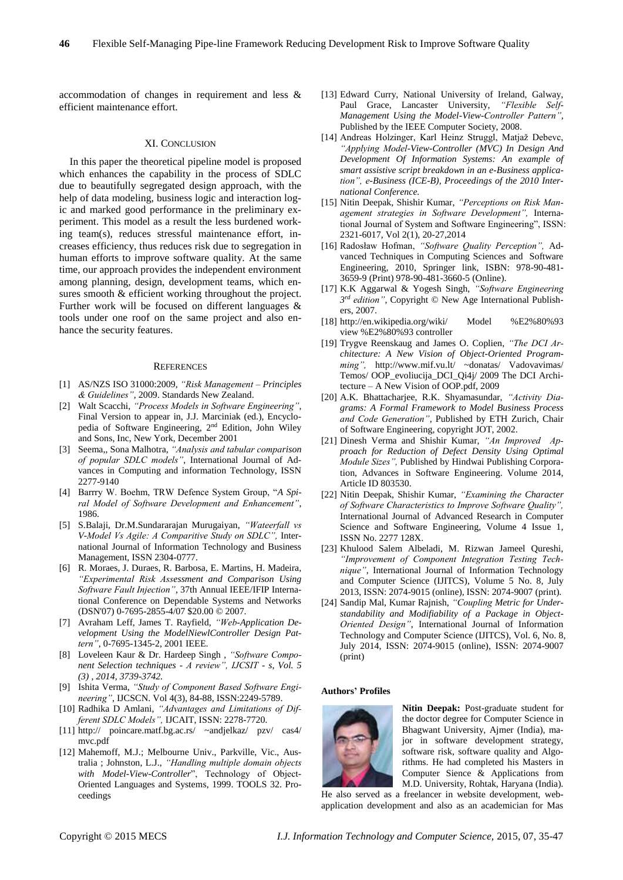accommodation of changes in requirement and less & efficient maintenance effort.

## XI. CONCLUSION

In this paper the theoretical pipeline model is proposed which enhances the capability in the process of SDLC due to beautifully segregated design approach, with the help of data modeling, business logic and interaction logic and marked good performance in the preliminary experiment. This model as a result the less burdened working team(s), reduces stressful maintenance effort, increases efficiency, thus reduces risk due to segregation in human efforts to improve software quality. At the same time, our approach provides the independent environment among planning, design, development teams, which ensures smooth & efficient working throughout the project. Further work will be focused on different languages & tools under one roof on the same project and also enhance the security features.

#### **REFERENCES**

- [1] AS/NZS ISO 31000:2009, *"Risk Management – Principles & Guidelines"*, 2009. Standards New Zealand.
- [2] Walt Scacchi, *"Process Models in Software Engineering"*, Final Version to appear in, J.J. Marciniak (ed.), Encyclopedia of Software Engineering, 2nd Edition, John Wiley and Sons, Inc, New York, December 2001
- [3] Seema,, Sona Malhotra, *"Analysis and tabular comparison of popular SDLC models"*, International Journal of Advances in Computing and information Technology, ISSN 2277-9140
- [4] Barrry W. Boehm, TRW Defence System Group, "*A Spiral Model of Software Development and Enhancement"*, 1986.
- [5] S.Balaji, Dr.M.Sundararajan Murugaiyan, *"Wateerfall vs V-Model Vs Agile: A Comparitive Study on SDLC",* International Journal of Information Technology and Business Management, ISSN 2304-0777.
- [6] R. Moraes, J. Duraes, R. Barbosa, E. Martins, H. Madeira, *"Experimental Risk Assessment and Comparison Using Software Fault Injection"*, 37th Annual IEEE/IFIP International Conference on Dependable Systems and Networks (DSN'07) 0-7695-2855-4/07 \$20.00 © 2007.
- [7] Avraham Leff, James T. Rayfield, *"Web-Application Development Using the ModelNiewlController Design Pattern"*, 0-7695-1345-2, 2001 IEEE.
- [8] Loveleen Kaur & Dr. Hardeep Singh , *"Software Component Selection techniques - A review", IJCSIT - s, Vol. 5 (3) , 2014, 3739-3742.*
- [9] Ishita Verma, *"Study of Component Based Software Engineering"*, IJCSCN. Vol 4(3), 84-88, ISSN:2249-5789.
- [10] Radhika D Amlani, *"Advantages and Limitations of Different SDLC Models",* IJCAIT, ISSN: 2278-7720*.*
- [11] http:// poincare.matf.bg.ac.rs/ ~andjelkaz/ pzv/ cas4/ mvc.pdf
- [12] Mahemoff, M.J.; Melbourne Univ., Parkville, Vic., Australia ; Johnston, L.J., *"Handling multiple domain objects with Model-View-Controller*", Technology of Object-Oriented Languages and Systems, 1999. TOOLS 32. Proceedings
- [13] Edward Curry, National University of Ireland, Galway, Paul Grace, Lancaster University, *"Flexible Self-Management Using the Model-View-Controller Pattern"*, Published by the IEEE Computer Society, 2008.
- [14] Andreas Holzinger, Karl Heinz Struggl, Matjaž Debevc, *"Applying Model-View-Controller (MVC) In Design And Development Of Information Systems: An example of smart assistive script breakdown in an e-Business application", e-Business (ICE-B), Proceedings of the 2010 International Conference.*
- [15] Nitin Deepak, Shishir Kumar, *"Perceptions on Risk Management strategies in Software Development",* International Journal of System and Software Engineering", ISSN: 2321-6017, Vol 2(1), 20-27,2014
- [16] Radosław Hofman, *"Software Quality Perception",* Advanced Techniques in Computing Sciences and Software Engineering, 2010, Springer link, ISBN: 978-90-481- 3659-9 (Print) 978-90-481-3660-5 (Online).
- [17] K.K Aggarwal & Yogesh Singh, *"Software Engineering 3 rd edition"*, Copyright © New Age International Publishers, 2007.
- [18] http://en.wikipedia.org/wiki/ Model %E2%80%93 view %E2%80%93 controller
- [19] Trygve Reenskaug and James O. Coplien, *"The DCI Architecture: A New Vision of Object-Oriented Programming",* http://www.mif.vu.lt/ ~donatas/ Vadovavimas/ Temos/ OOP\_evoliucija\_DCI\_Qi4j/ 2009 The DCI Architecture – A New Vision of OOP.pdf, 2009
- [20] A.K. Bhattacharjee, R.K. Shyamasundar, *"Activity Diagrams: A Formal Framework to Model Business Process and Code Generation"*, Published by ETH Zurich, Chair of Software Engineering, copyright JOT, 2002.
- [21] Dinesh Verma and Shishir Kumar, *"An Improved Approach for Reduction of Defect Density Using Optimal Module Sizes",* Published by Hindwai Publishing Corporation, Advances in Software Engineering. Volume 2014, Article ID 803530.
- [22] Nitin Deepak, Shishir Kumar, *"Examining the Character of Software Characteristics to Improve Software Quality",* International Journal of Advanced Research in Computer Science and Software Engineering, Volume 4 Issue 1, ISSN No. 2277 128X.
- [23] Khulood Salem Albeladi, M. Rizwan Jameel Qureshi, *"Improvement of Component Integration Testing Technique"*, International Journal of Information Technology and Computer Science (IJITCS), Volume 5 No. 8, July 2013, ISSN: 2074-9015 (online), ISSN: 2074-9007 (print).
- [24] Sandip Mal, Kumar Rajnish, *"Coupling Metric for Understandability and Modifiability of a Package in Object-Oriented Design"*, International Journal of Information Technology and Computer Science (IJITCS), Vol. 6, No. 8, July 2014, ISSN: 2074-9015 (online), ISSN: 2074-9007 (print)

#### **Authors' Profiles**



**Nitin Deepak:** Post-graduate student for the doctor degree for Computer Science in Bhagwant University, Ajmer (India), major in software development strategy, software risk, software quality and Algorithms. He had completed his Masters in Computer Sience & Applications from M.D. University, Rohtak, Haryana (India).

He also served as a freelancer in website development, webapplication development and also as an academician for Mas